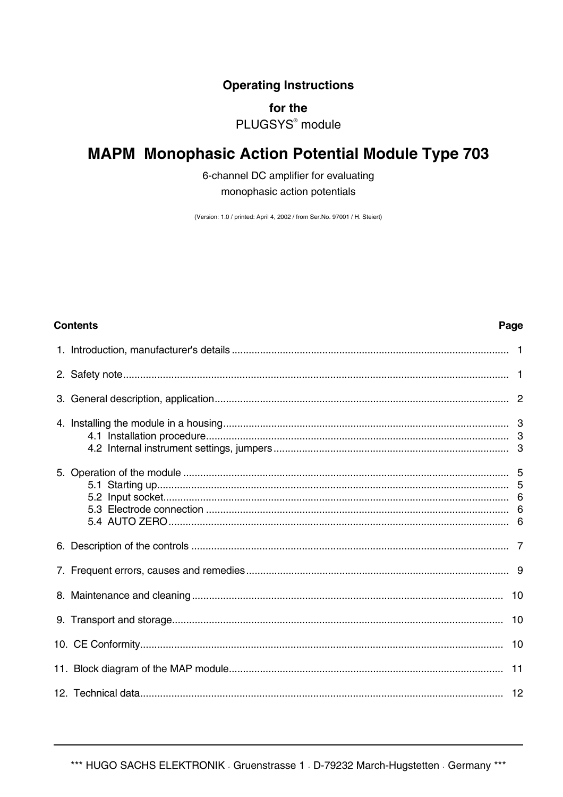**Operating Instructions** 

## for the

PLUGSYS<sup>®</sup> module

# **MAPM Monophasic Action Potential Module Type 703**

6-channel DC amplifier for evaluating monophasic action potentials

(Version: 1.0 / printed: April 4, 2002 / from Ser.No. 97001 / H. Steiert)

Page

## **Contents**

|  | 10 |
|--|----|
|  |    |
|  | 10 |
|  |    |
|  |    |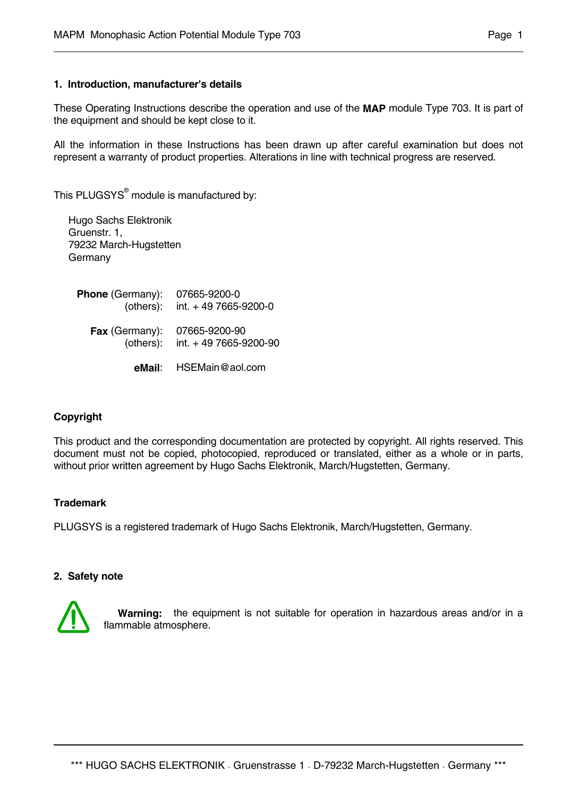## **1. Introduction, manufacturer's details**

These Operating Instructions describe the operation and use of the **MAP** module Type 703. It is part of the equipment and should be kept close to it.

All the information in these Instructions has been drawn up after careful examination but does not represent a warranty of product properties. Alterations in line with technical progress are reserved.

This PLUGSYS $^{\circ}$  module is manufactured by:

 Hugo Sachs Elektronik Gruenstr. 1, 79232 March-Hugstetten Germany

| <b>Phone</b> (Germany): | 07665-9200-0<br>(others): $int. + 497665-9200-0$       |
|-------------------------|--------------------------------------------------------|
| <b>Fax</b> (Germany):   | 07665-9200-90<br>(others): $int. + 497665 - 9200 - 90$ |

 **eMail**: HSEMain@aol.com

## **Copyright**

This product and the corresponding documentation are protected by copyright. All rights reserved. This document must not be copied, photocopied, reproduced or translated, either as a whole or in parts, without prior written agreement by Hugo Sachs Elektronik, March/Hugstetten, Germany.

#### **Trademark**

PLUGSYS is a registered trademark of Hugo Sachs Elektronik, March/Hugstetten, Germany.

#### **2. Safety note**



 **Warning:** the equipment is not suitable for operation in hazardous areas and/or in a flammable atmosphere.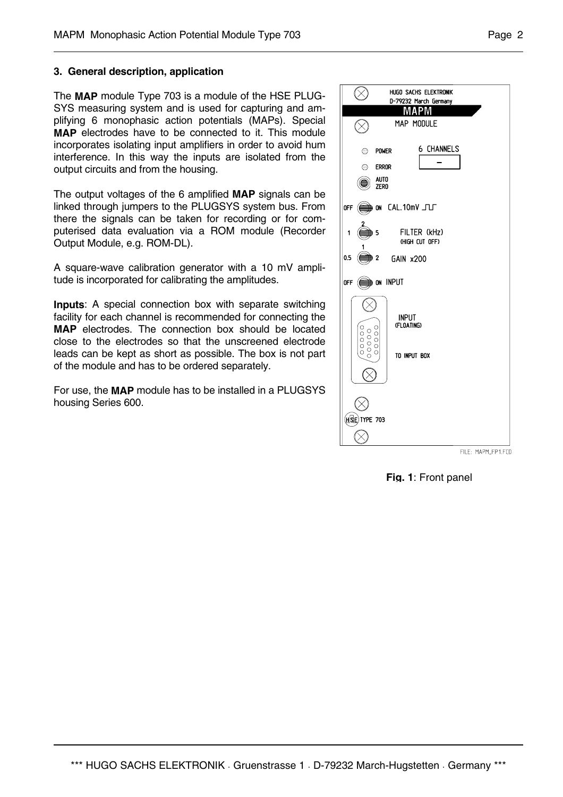## **3. General description, application**

The **MAP** module Type 703 is a module of the HSE PLUG-SYS measuring system and is used for capturing and amplifying 6 monophasic action potentials (MAPs). Special **MAP** electrodes have to be connected to it. This module incorporates isolating input amplifiers in order to avoid hum interference. In this way the inputs are isolated from the output circuits and from the housing.

The output voltages of the 6 amplified **MAP** signals can be linked through jumpers to the PLUGSYS system bus. From there the signals can be taken for recording or for computerised data evaluation via a ROM module (Recorder Output Module, e.g. ROM-DL).

A square-wave calibration generator with a 10 mV amplitude is incorporated for calibrating the amplitudes.

**Inputs**: A special connection box with separate switching facility for each channel is recommended for connecting the **MAP** electrodes. The connection box should be located close to the electrodes so that the unscreened electrode leads can be kept as short as possible. The box is not part of the module and has to be ordered separately.

For use, the **MAP** module has to be installed in a PLUGSYS housing Series 600.



FILE: MAPM\_FP1.FCD

**Fig. 1**: Front panel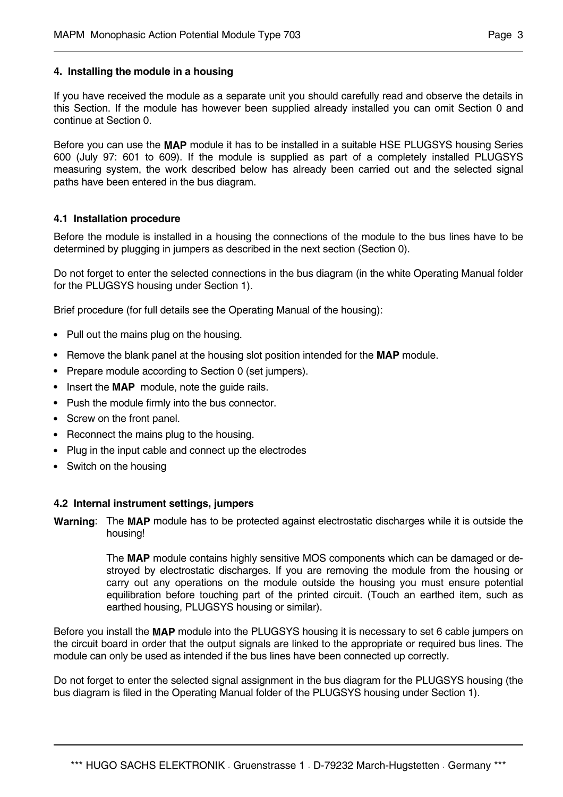## **4. Installing the module in a housing**

If you have received the module as a separate unit you should carefully read and observe the details in this Section. If the module has however been supplied already installed you can omit Section 0 and continue at Section 0.

Before you can use the **MAP** module it has to be installed in a suitable HSE PLUGSYS housing Series 600 (July 97: 601 to 609). If the module is supplied as part of a completely installed PLUGSYS measuring system, the work described below has already been carried out and the selected signal paths have been entered in the bus diagram.

## **4.1 Installation procedure**

Before the module is installed in a housing the connections of the module to the bus lines have to be determined by plugging in jumpers as described in the next section (Section 0).

Do not forget to enter the selected connections in the bus diagram (in the white Operating Manual folder for the PLUGSYS housing under Section 1).

Brief procedure (for full details see the Operating Manual of the housing):

- **•** Pull out the mains plug on the housing.
- **•** Remove the blank panel at the housing slot position intended for the **MAP** module.
- **•** Prepare module according to Section 0 (set jumpers).
- **•** Insert the **MAP** module, note the guide rails.
- **•** Push the module firmly into the bus connector.
- **•** Screw on the front panel.
- **•** Reconnect the mains plug to the housing.
- **•** Plug in the input cable and connect up the electrodes
- **•** Switch on the housing

#### **4.2 Internal instrument settings, jumpers**

**Warning**: The **MAP** module has to be protected against electrostatic discharges while it is outside the housing!

> The **MAP** module contains highly sensitive MOS components which can be damaged or destroyed by electrostatic discharges. If you are removing the module from the housing or carry out any operations on the module outside the housing you must ensure potential equilibration before touching part of the printed circuit. (Touch an earthed item, such as earthed housing, PLUGSYS housing or similar).

Before you install the **MAP** module into the PLUGSYS housing it is necessary to set 6 cable jumpers on the circuit board in order that the output signals are linked to the appropriate or required bus lines. The module can only be used as intended if the bus lines have been connected up correctly.

Do not forget to enter the selected signal assignment in the bus diagram for the PLUGSYS housing (the bus diagram is filed in the Operating Manual folder of the PLUGSYS housing under Section 1).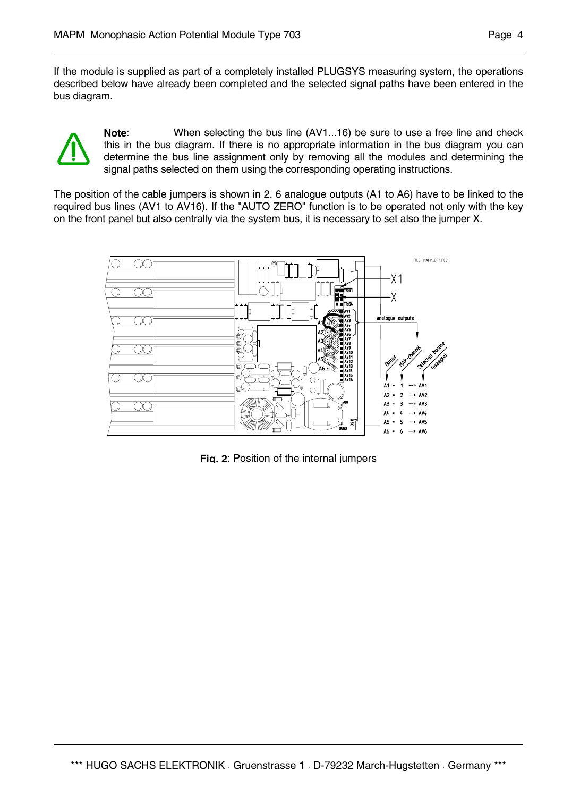If the module is supplied as part of a completely installed PLUGSYS measuring system, the operations described below have already been completed and the selected signal paths have been entered in the bus diagram.



**Note**: When selecting the bus line (AV1...16) be sure to use a free line and check this in the bus diagram. If there is no appropriate information in the bus diagram you can determine the bus line assignment only by removing all the modules and determining the signal paths selected on them using the corresponding operating instructions.

The position of the cable jumpers is shown in 2. 6 analogue outputs (A1 to A6) have to be linked to the required bus lines (AV1 to AV16). If the "AUTO ZERO" function is to be operated not only with the key on the front panel but also centrally via the system bus, it is necessary to set also the jumper X.



**Fig. 2**: Position of the internal jumpers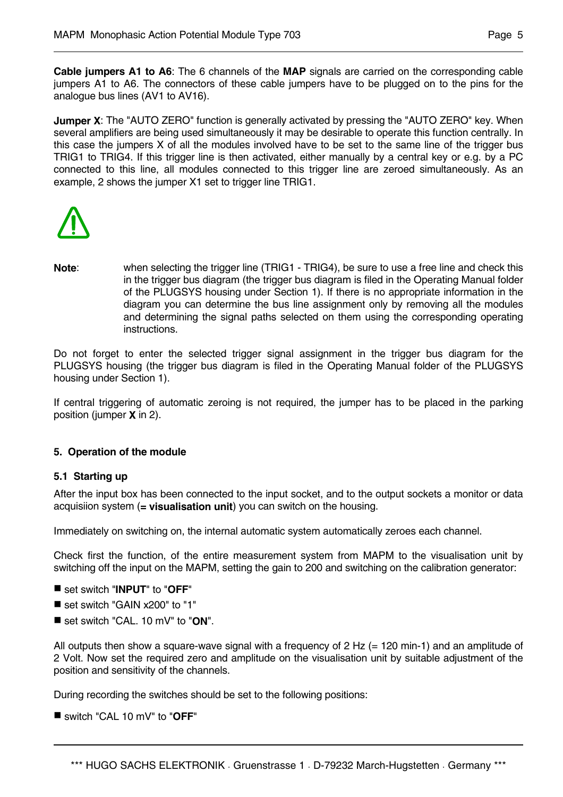**Cable jumpers A1 to A6**: The 6 channels of the **MAP** signals are carried on the corresponding cable jumpers A1 to A6. The connectors of these cable jumpers have to be plugged on to the pins for the analogue bus lines (AV1 to AV16).

**Jumper X:** The "AUTO ZERO" function is generally activated by pressing the "AUTO ZERO" key. When several amplifiers are being used simultaneously it may be desirable to operate this function centrally. In this case the jumpers X of all the modules involved have to be set to the same line of the trigger bus TRIG1 to TRIG4. If this trigger line is then activated, either manually by a central key or e.g. by a PC connected to this line, all modules connected to this trigger line are zeroed simultaneously. As an example, 2 shows the jumper X1 set to trigger line TRIG1.



**Note**: when selecting the trigger line (TRIG1 - TRIG4), be sure to use a free line and check this in the trigger bus diagram (the trigger bus diagram is filed in the Operating Manual folder of the PLUGSYS housing under Section 1). If there is no appropriate information in the diagram you can determine the bus line assignment only by removing all the modules and determining the signal paths selected on them using the corresponding operating instructions.

Do not forget to enter the selected trigger signal assignment in the trigger bus diagram for the PLUGSYS housing (the trigger bus diagram is filed in the Operating Manual folder of the PLUGSYS housing under Section 1).

If central triggering of automatic zeroing is not required, the jumper has to be placed in the parking position (jumper **X** in 2).

# **5. Operation of the module**

## **5.1 Starting up**

After the input box has been connected to the input socket, and to the output sockets a monitor or data acquisiion system (**= visualisation unit**) you can switch on the housing.

Immediately on switching on, the internal automatic system automatically zeroes each channel.

Check first the function, of the entire measurement system from MAPM to the visualisation unit by switching off the input on the MAPM, setting the gain to 200 and switching on the calibration generator:

- set switch "**INPUT**" to "**OFF**"
- set switch "GAIN x200" to "1"
- set switch "CAL. 10 mV" to "**ON**".

All outputs then show a square-wave signal with a frequency of 2 Hz (= 120 min-1) and an amplitude of 2 Volt. Now set the required zero and amplitude on the visualisation unit by suitable adjustment of the position and sensitivity of the channels.

During recording the switches should be set to the following positions:

switch "CAL 10 mV" to "**OFF**"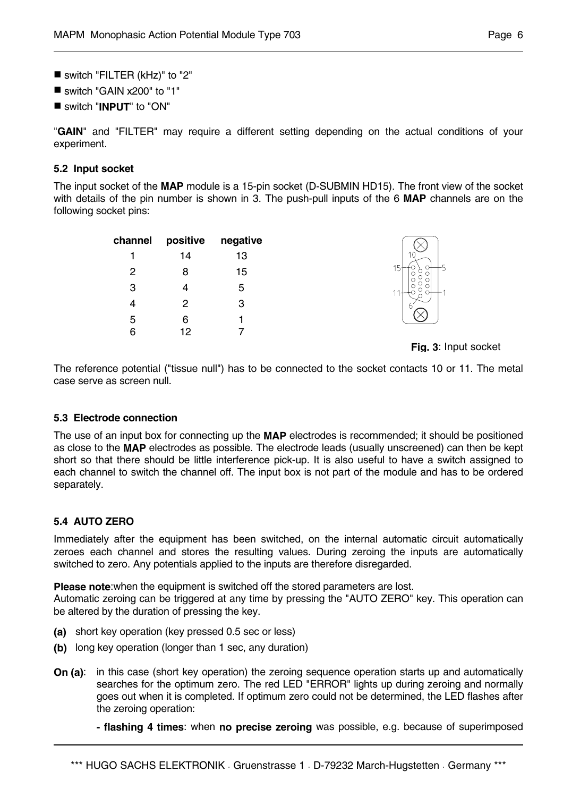- switch "FILTER (kHz)" to "2"
- switch "GAIN x200" to "1"
- switch "**INPUT**" to "ON"

"**GAIN**" and "FILTER" may require a different setting depending on the actual conditions of your experiment.

## **5.2 Input socket**

The input socket of the **MAP** module is a 15-pin socket (D-SUBMIN HD15). The front view of the socket with details of the pin number is shown in 3. The push-pull inputs of the 6 **MAP** channels are on the following socket pins:

| channel | positive | negative |
|---------|----------|----------|
|         | 14       | 13       |
| 2       | 8        | 15       |
| 3       | 4        | 5        |
| 4       | 2        | 3        |
| 5       | 6        |          |
| 6       | 12       |          |



**Fig. 3**: Input socket

The reference potential ("tissue null") has to be connected to the socket contacts 10 or 11. The metal case serve as screen null.

## **5.3 Electrode connection**

The use of an input box for connecting up the **MAP** electrodes is recommended; it should be positioned as close to the **MAP** electrodes as possible. The electrode leads (usually unscreened) can then be kept short so that there should be little interference pick-up. It is also useful to have a switch assigned to each channel to switch the channel off. The input box is not part of the module and has to be ordered separately.

# **5.4 AUTO ZERO**

Immediately after the equipment has been switched, on the internal automatic circuit automatically zeroes each channel and stores the resulting values. During zeroing the inputs are automatically switched to zero. Any potentials applied to the inputs are therefore disregarded.

**Please note**:when the equipment is switched off the stored parameters are lost.

Automatic zeroing can be triggered at any time by pressing the "AUTO ZERO" key. This operation can be altered by the duration of pressing the key.

- **(a)** short key operation (key pressed 0.5 sec or less)
- **(b)** long key operation (longer than 1 sec, any duration)
- **On (a):** in this case (short key operation) the zeroing sequence operation starts up and automatically searches for the optimum zero. The red LED "ERROR" lights up during zeroing and normally goes out when it is completed. If optimum zero could not be determined, the LED flashes after the zeroing operation:

 **- flashing 4 times**: when **no precise zeroing** was possible, e.g. because of superimposed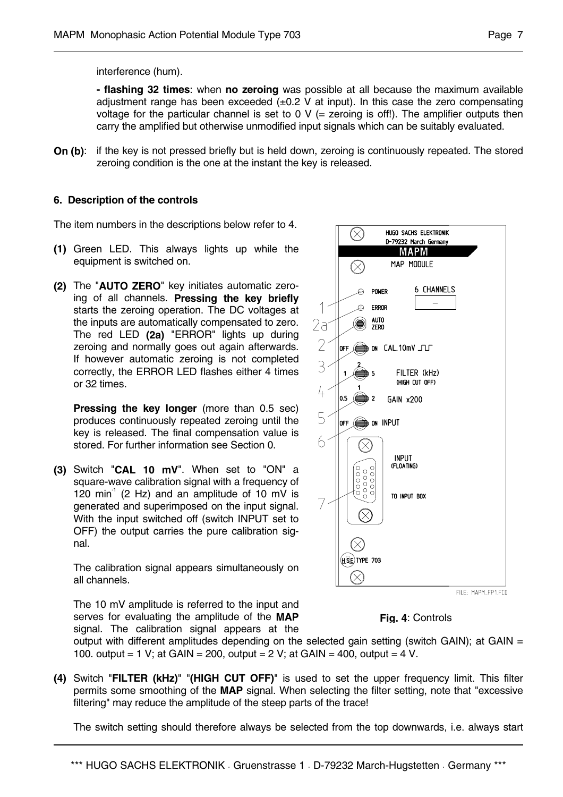interference (hum).

 **- flashing 32 times**: when **no zeroing** was possible at all because the maximum available adjustment range has been exceeded  $(+0.2 \text{ V at input})$ . In this case the zero compensating voltage for the particular channel is set to 0  $V$  (= zeroing is off!). The amplifier outputs then carry the amplified but otherwise unmodified input signals which can be suitably evaluated.

**On (b):** if the key is not pressed briefly but is held down, zeroing is continuously repeated. The stored zeroing condition is the one at the instant the key is released.

## **6. Description of the controls**

The item numbers in the descriptions below refer to 4.

- **(1)** Green LED. This always lights up while the equipment is switched on.
- **(2)** The "**AUTO ZERO**" key initiates automatic zeroing of all channels. **Pressing the key briefly** starts the zeroing operation. The DC voltages at the inputs are automatically compensated to zero. The red LED **(2a)** "ERROR" lights up during zeroing and normally goes out again afterwards. If however automatic zeroing is not completed correctly, the ERROR LED flashes either 4 times or 32 times.

 **Pressing the key longer** (more than 0.5 sec) produces continuously repeated zeroing until the key is released. The final compensation value is stored. For further information see Section 0.

**(3)** Switch "**CAL 10 mV**". When set to "ON" a square-wave calibration signal with a frequency of 120 min<sup>-1</sup> (2 Hz) and an amplitude of 10 mV is generated and superimposed on the input signal. With the input switched off (switch INPUT set to OFF) the output carries the pure calibration signal.

 The calibration signal appears simultaneously on all channels.

 The 10 mV amplitude is referred to the input and serves for evaluating the amplitude of the **MAP** signal. The calibration signal appears at the



**Fig. 4**: Controls

output with different amplitudes depending on the selected gain setting (switch GAIN); at GAIN = 100. output = 1 V; at GAIN = 200, output = 2 V; at GAIN = 400, output = 4 V.

**(4)** Switch "**FILTER (kHz)**" "**(HIGH CUT OFF)**" is used to set the upper frequency limit. This filter permits some smoothing of the **MAP** signal. When selecting the filter setting, note that "excessive filtering" may reduce the amplitude of the steep parts of the trace!

The switch setting should therefore always be selected from the top downwards, i.e. always start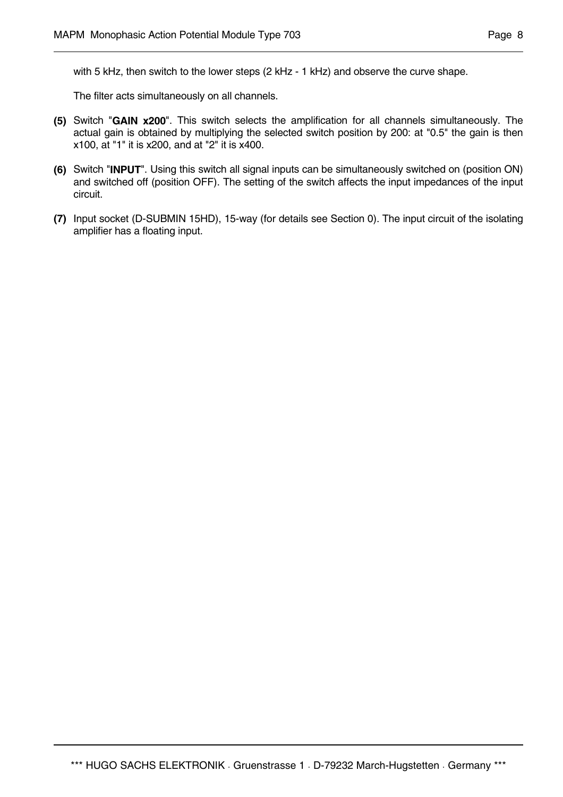with 5 kHz, then switch to the lower steps (2 kHz - 1 kHz) and observe the curve shape.

The filter acts simultaneously on all channels.

- **(5)** Switch "**GAIN x200**". This switch selects the amplification for all channels simultaneously. The actual gain is obtained by multiplying the selected switch position by 200: at "0.5" the gain is then x100, at "1" it is x200, and at "2" it is x400.
- **(6)** Switch "**INPUT**". Using this switch all signal inputs can be simultaneously switched on (position ON) and switched off (position OFF). The setting of the switch affects the input impedances of the input circuit.
- **(7)** Input socket (D-SUBMIN 15HD), 15-way (for details see Section 0). The input circuit of the isolating amplifier has a floating input.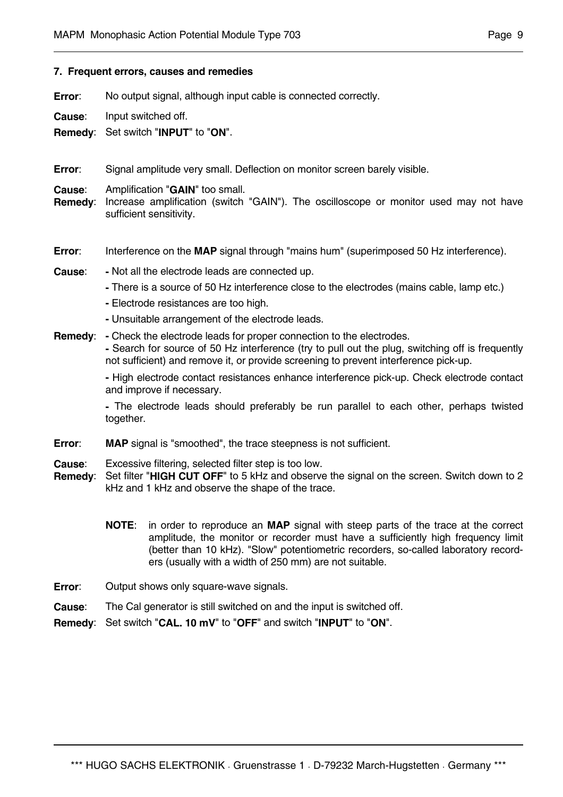#### **7. Frequent errors, causes and remedies**

**Error:** No output signal, although input cable is connected correctly.

**Cause**: Input switched off.

**Remedy**: Set switch "**INPUT**" to "**ON**".

**Error**: Signal amplitude very small. Deflection on monitor screen barely visible.

**Cause**: Amplification "**GAIN**" too small.

- **Remedy**: Increase amplification (switch "GAIN"). The oscilloscope or monitor used may not have sufficient sensitivity.
- **Error:** Interference on the **MAP** signal through "mains hum" (superimposed 50 Hz interference).
- **Cause**: **-** Not all the electrode leads are connected up.
	- **-** There is a source of 50 Hz interference close to the electrodes (mains cable, lamp etc.)
	- **-** Electrode resistances are too high.
	- **-** Unsuitable arrangement of the electrode leads.
- **Remedy**: **-** Check the electrode leads for proper connection to the electrodes.  **-** Search for source of 50 Hz interference (try to pull out the plug, switching off is frequently not sufficient) and remove it, or provide screening to prevent interference pick-up.

 **-** High electrode contact resistances enhance interference pick-up. Check electrode contact and improve if necessary.

 **-** The electrode leads should preferably be run parallel to each other, perhaps twisted together.

**Error:** MAP signal is "smoothed", the trace steepness is not sufficient.

**Cause**: Excessive filtering, selected filter step is too low.

- **Remedy**: Set filter "**HIGH CUT OFF**" to 5 kHz and observe the signal on the screen. Switch down to 2 kHz and 1 kHz and observe the shape of the trace.
	- **NOTE**: in order to reproduce an **MAP** signal with steep parts of the trace at the correct amplitude, the monitor or recorder must have a sufficiently high frequency limit (better than 10 kHz). "Slow" potentiometric recorders, so-called laboratory recorders (usually with a width of 250 mm) are not suitable.
- **Error:** Output shows only square-wave signals.
- **Cause**: The Cal generator is still switched on and the input is switched off.
- **Remedy**: Set switch "**CAL. 10 mV**" to "**OFF**" and switch "**INPUT**" to "**ON**".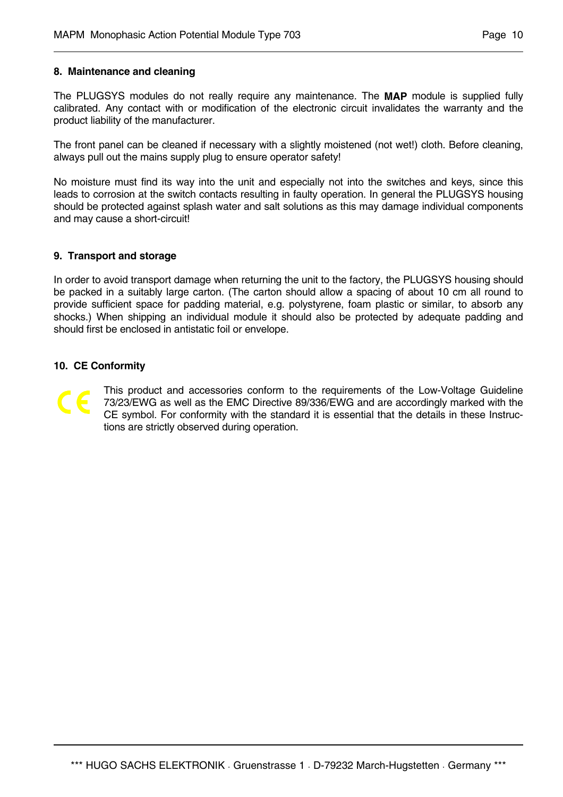## **8. Maintenance and cleaning**

The PLUGSYS modules do not really require any maintenance. The **MAP** module is supplied fully calibrated. Any contact with or modification of the electronic circuit invalidates the warranty and the product liability of the manufacturer.

The front panel can be cleaned if necessary with a slightly moistened (not wet!) cloth. Before cleaning, always pull out the mains supply plug to ensure operator safety!

No moisture must find its way into the unit and especially not into the switches and keys, since this leads to corrosion at the switch contacts resulting in faulty operation. In general the PLUGSYS housing should be protected against splash water and salt solutions as this may damage individual components and may cause a short-circuit!

## **9. Transport and storage**

In order to avoid transport damage when returning the unit to the factory, the PLUGSYS housing should be packed in a suitably large carton. (The carton should allow a spacing of about 10 cm all round to provide sufficient space for padding material, e.g. polystyrene, foam plastic or similar, to absorb any shocks.) When shipping an individual module it should also be protected by adequate padding and should first be enclosed in antistatic foil or envelope.

## **10. CE Conformity**

This product and accessories conform to the requirements of the Low-Voltage Guideline 73/23/EWG as well as the EMC Directive 89/336/EWG and are accordingly marked with the CE symbol. For conformity with the standard it is essential that the details in these Instructions are strictly observed during operation.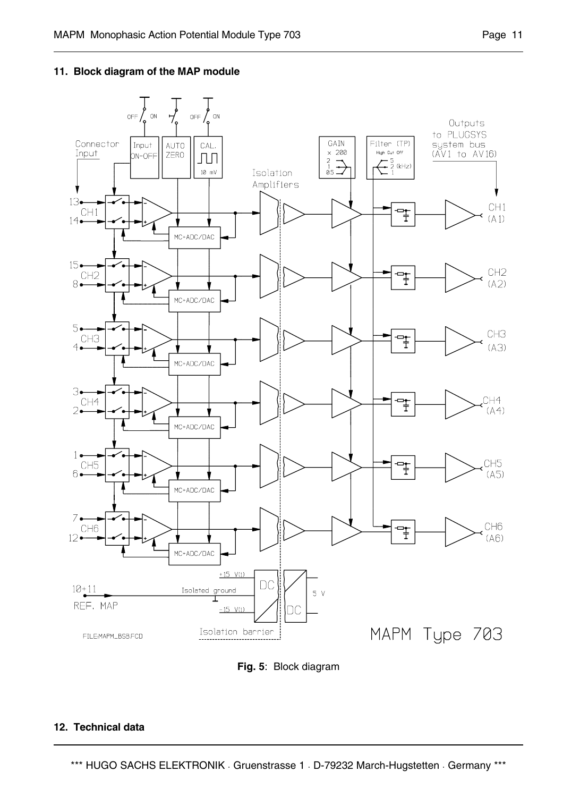## **11. Block diagram of the MAP module**



**Fig. 5**: Block diagram

#### **12. Technical data**